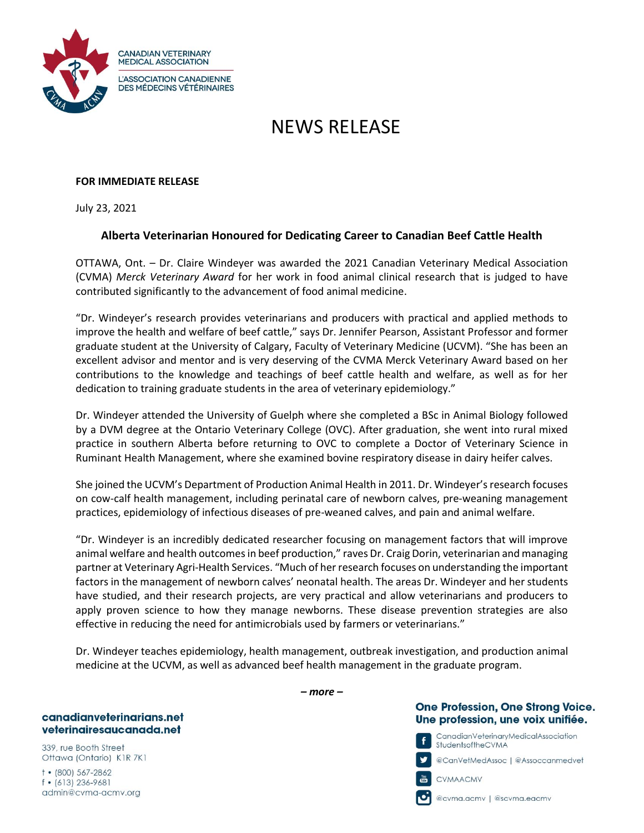

# NEWS RELEASE

## **FOR IMMEDIATE RELEASE**

July 23, 2021

# **Alberta Veterinarian Honoured for Dedicating Career to Canadian Beef Cattle Health**

OTTAWA, Ont. – Dr. Claire Windeyer was awarded the 2021 Canadian Veterinary Medical Association (CVMA) *Merck Veterinary Award* for her work in food animal clinical research that is judged to have contributed significantly to the advancement of food animal medicine.

"Dr. Windeyer's research provides veterinarians and producers with practical and applied methods to improve the health and welfare of beef cattle," says Dr. Jennifer Pearson, Assistant Professor and former graduate student at the University of Calgary, Faculty of Veterinary Medicine (UCVM). "She has been an excellent advisor and mentor and is very deserving of the CVMA Merck Veterinary Award based on her contributions to the knowledge and teachings of beef cattle health and welfare, as well as for her dedication to training graduate students in the area of veterinary epidemiology."

Dr. Windeyer attended the University of Guelph where she completed a BSc in Animal Biology followed by a DVM degree at the Ontario Veterinary College (OVC). After graduation, she went into rural mixed practice in southern Alberta before returning to OVC to complete a Doctor of Veterinary Science in Ruminant Health Management, where she examined bovine respiratory disease in dairy heifer calves.

She joined the UCVM's Department of Production Animal Health in 2011. Dr. Windeyer's research focuses on cow-calf health management, including perinatal care of newborn calves, pre-weaning management practices, epidemiology of infectious diseases of pre-weaned calves, and pain and animal welfare.

"Dr. Windeyer is an incredibly dedicated researcher focusing on management factors that will improve animal welfare and health outcomes in beef production," raves Dr. Craig Dorin, veterinarian and managing partner at Veterinary Agri-Health Services. "Much of her research focuses on understanding the important factors in the management of newborn calves' neonatal health. The areas Dr. Windeyer and her students have studied, and their research projects, are very practical and allow veterinarians and producers to apply proven science to how they manage newborns. These disease prevention strategies are also effective in reducing the need for antimicrobials used by farmers or veterinarians."

Dr. Windeyer teaches epidemiology, health management, outbreak investigation, and production animal medicine at the UCVM, as well as advanced beef health management in the graduate program.

#### canadianveterinarians.net veterinairesaucanada.net

339, rue Booth Street Ottawa (Ontario) K1R 7K1

 $+$  (800) 567-2862  $f$  • (613) 236-9681 admin@cvma-acmv.org *– more –*

## **One Profession, One Strong Voice.** Une profession, une voix unifiée.



@CanVełMedAssoc | @Assoccanmedveł



CVMAACMV

@cvma.acmv | @scvma.eacmv